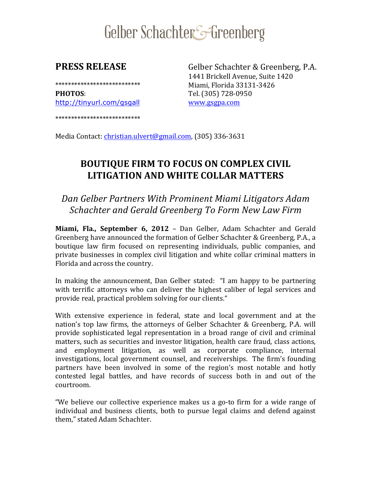# Gelber Schachter<sup>-</sup>Greenberg

**PHOTOS:** Tel. (305) 728-0950 http://tinyurl.com/gsgall www.gsgpa.com

\*\*\*\*\*\*\*\*\*\*\*\*\*\*\*\*\*\*\*\*\*\*\*\*\*\*\*

**PRESS RELEASE** Gelber Schachter & Greenberg, P.A. 1441 Brickell Avenue, Suite 1420 \*\*\*\*\*\*\*\*\*\*\*\*\*\*\*\*\*\*\*\*\*\*\*\*\*\*\* Miami, Florida 33131-3426

Media Contact: christian.ulvert@gmail.com, (305) 336-3631

# **BOUTIQUE FIRM TO FOCUS ON COMPLEX CIVIL LITIGATION AND WHITE COLLAR MATTERS**

# *Dan Gelber Partners With Prominent Miami Litigators Adam Schachter and Gerald Greenberg To Form New Law Firm*

**Miami, Fla., September 6, 2012** – Dan Gelber, Adam Schachter and Gerald Greenberg have announced the formation of Gelber Schachter & Greenberg, P.A., a boutique law firm focused on representing individuals, public companies, and private businesses in complex civil litigation and white collar criminal matters in Florida and across the country.

In making the announcement, Dan Gelber stated: "I am happy to be partnering with terrific attorneys who can deliver the highest caliber of legal services and provide real, practical problem solving for our clients."

With extensive experience in federal, state and local government and at the nation's top law firms, the attorneys of Gelber Schachter & Greenberg, P.A. will provide sophisticated legal representation in a broad range of civil and criminal matters, such as securities and investor litigation, health care fraud, class actions, and employment litigation, as well as corporate compliance, internal investigations, local government counsel, and receiverships. The firm's founding partners have been involved in some of the region's most notable and hotly contested legal battles, and have records of success both in and out of the courtroom.

"We believe our collective experience makes us a go-to firm for a wide range of "We believe our collective experience makes us a go-to firm for a wide range of<br>individual and business clients, both to pursue legal claims and defend against them." stated Adam Schachter.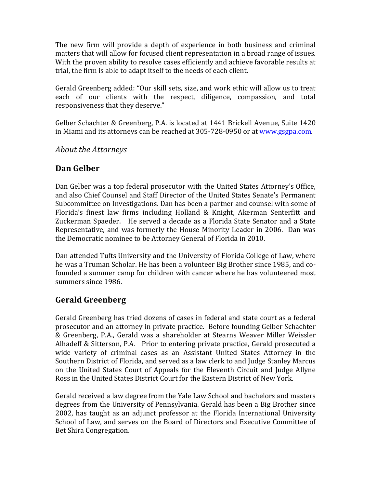The new firm will provide a depth of experience in both business and criminal matters that will allow for focused client representation in a broad range of issues. With the proven ability to resolve cases efficiently and achieve favorable results at trial, the firm is able to adapt itself to the needs of each client.

Gerald Greenberg added: "Our skill sets, size, and work ethic will allow us to treat each of our clients with the respect, diligence, compassion, and total responsiveness that they deserve."

Gelber Schachter & Greenberg, P.A. is located at 1441 Brickell Avenue, Suite 1420 in Miami and its attorneys can be reached at 305-728-0950 or at www.gsgpa.com.

*About the Attorneys*

### **Dan Gelber**

Dan Gelber was a top federal prosecutor with the United States Attorney's Office, and also Chief Counsel and Staff Director of the United States Senate's Permanent Subcommittee on Investigations. Dan has been a partner and counsel with some of Florida's finest law firms including Holland & Knight, Akerman Senterfitt and Zuckerman Spaeder. He served a decade as a Florida State Senator and a State Representative, and was formerly the House Minority Leader in 2006. Dan was the Democratic nominee to be Attorney General of Florida in 2010.

Dan attended Tufts University and the University of Florida College of Law, where he was a Truman Scholar. He has been a volunteer Big Brother since 1985, and cofounded a summer camp for children with cancer where he has volunteered most summers since 1986.

#### **Gerald Greenberg**

Gerald Greenberg has tried dozens of cases in federal and state court as a federal prosecutor and an attorney in private practice. Before founding Gelber Schachter & Greenberg, P.A., Gerald was a shareholder at Stearns Weaver Miller Weissler Alhadeff & Sitterson, P.A. Prior to entering private practice, Gerald prosecuted a wide variety of criminal cases as an Assistant United States Attorney in the Southern District of Florida, and served as a law clerk to and Judge Stanley Marcus on the United States Court of Appeals for the Eleventh Circuit and Judge Allyne Ross in the United States District Court for the Eastern District of New York.

Gerald received a law degree from the Yale Law School and bachelors and masters degrees from the University of Pennsylvania. Gerald has been a Big Brother since 2002, has taught as an adjunct professor at the Florida International University School of Law, and serves on the Board of Directors and Executive Committee of Bet Shira Congregation.